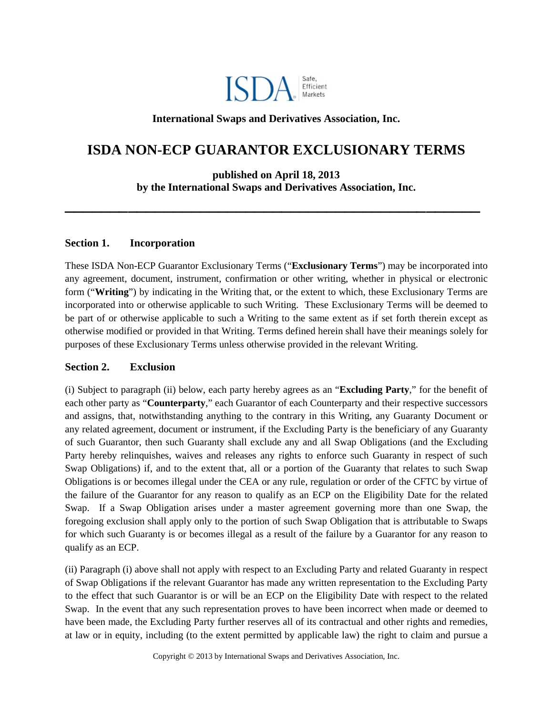

# **International Swaps and Derivatives Association, Inc.**

# **ISDA NON-ECP GUARANTOR EXCLUSIONARY TERMS**

**published on April 18, 2013 by the International Swaps and Derivatives Association, Inc.**

**\_\_\_\_\_\_\_\_\_\_\_\_\_\_\_\_\_\_\_\_\_\_\_\_\_\_\_\_\_\_\_\_\_\_\_\_\_\_\_\_\_\_\_\_\_\_**

### **Section 1. Incorporation**

These ISDA Non-ECP Guarantor Exclusionary Terms ("**Exclusionary Terms**") may be incorporated into any agreement, document, instrument, confirmation or other writing, whether in physical or electronic form ("**Writing**") by indicating in the Writing that, or the extent to which, these Exclusionary Terms are incorporated into or otherwise applicable to such Writing. These Exclusionary Terms will be deemed to be part of or otherwise applicable to such a Writing to the same extent as if set forth therein except as otherwise modified or provided in that Writing. Terms defined herein shall have their meanings solely for purposes of these Exclusionary Terms unless otherwise provided in the relevant Writing.

#### **Section 2. Exclusion**

(i) Subject to paragraph (ii) below, each party hereby agrees as an "**Excluding Party**," for the benefit of each other party as "**Counterparty**," each Guarantor of each Counterparty and their respective successors and assigns, that, notwithstanding anything to the contrary in this Writing, any Guaranty Document or any related agreement, document or instrument, if the Excluding Party is the beneficiary of any Guaranty of such Guarantor, then such Guaranty shall exclude any and all Swap Obligations (and the Excluding Party hereby relinquishes, waives and releases any rights to enforce such Guaranty in respect of such Swap Obligations) if, and to the extent that, all or a portion of the Guaranty that relates to such Swap Obligations is or becomes illegal under the CEA or any rule, regulation or order of the CFTC by virtue of the failure of the Guarantor for any reason to qualify as an ECP on the Eligibility Date for the related Swap. If a Swap Obligation arises under a master agreement governing more than one Swap, the foregoing exclusion shall apply only to the portion of such Swap Obligation that is attributable to Swaps for which such Guaranty is or becomes illegal as a result of the failure by a Guarantor for any reason to qualify as an ECP.

(ii) Paragraph (i) above shall not apply with respect to an Excluding Party and related Guaranty in respect of Swap Obligations if the relevant Guarantor has made any written representation to the Excluding Party to the effect that such Guarantor is or will be an ECP on the Eligibility Date with respect to the related Swap. In the event that any such representation proves to have been incorrect when made or deemed to have been made, the Excluding Party further reserves all of its contractual and other rights and remedies, at law or in equity, including (to the extent permitted by applicable law) the right to claim and pursue a